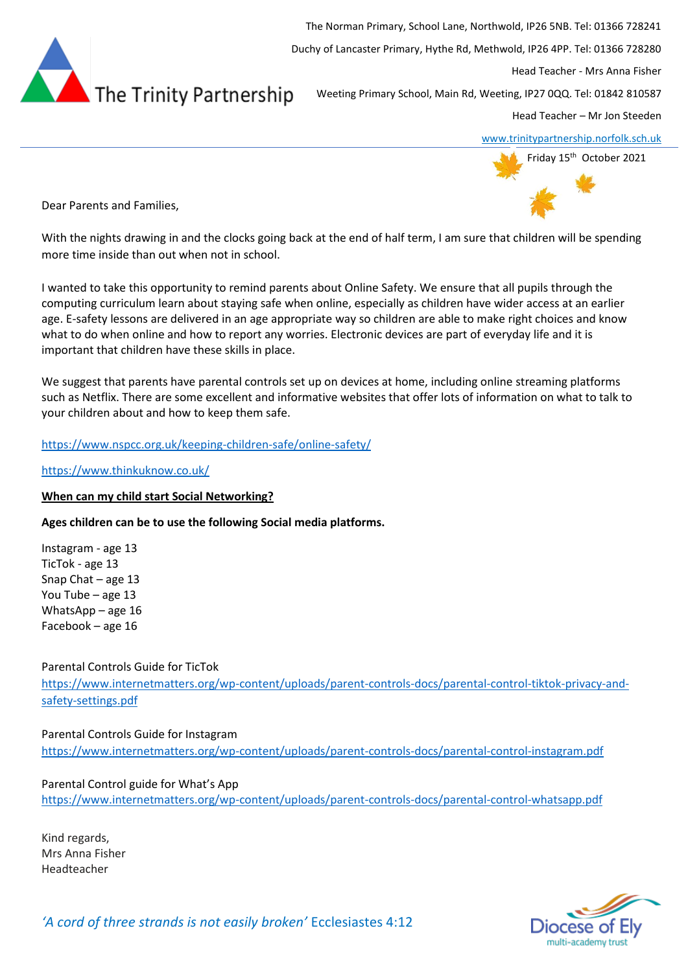

The Norman Primary, School Lane, Northwold, IP26 5NB. Tel: 01366 728241 Duchy of Lancaster Primary, Hythe Rd, Methwold, IP26 4PP. Tel: 01366 728280 Head Teacher - Mrs Anna Fisher Weeting Primary School, Main Rd, Weeting, IP27 0QQ. Tel: 01842 810587 Head Teacher – Mr Jon Steeden

[www.trinitypartnership.norfolk.sch.uk](http://www.trinitypartnership.norfolk.sch.uk/)



Dear Parents and Families,

With the nights drawing in and the clocks going back at the end of half term, I am sure that children will be spending more time inside than out when not in school.

I wanted to take this opportunity to remind parents about Online Safety. We ensure that all pupils through the computing curriculum learn about staying safe when online, especially as children have wider access at an earlier age. E-safety lessons are delivered in an age appropriate way so children are able to make right choices and know what to do when online and how to report any worries. Electronic devices are part of everyday life and it is important that children have these skills in place.

We suggest that parents have parental controls set up on devices at home, including online streaming platforms such as Netflix. There are some excellent and informative websites that offer lots of information on what to talk to your children about and how to keep them safe.

# <https://www.nspcc.org.uk/keeping-children-safe/online-safety/>

<https://www.thinkuknow.co.uk/>

## **When can my child start Social Networking?**

**Ages children can be to use the following Social media platforms.** 

Instagram - age 13 TicTok - age 13 Snap Chat – age 13 You Tube – age 13 WhatsApp – age 16 Facebook – age 16

Parental Controls Guide for TicTok

[https://www.internetmatters.org/wp-content/uploads/parent-controls-docs/parental-control-tiktok-privacy-and](https://www.internetmatters.org/wp-content/uploads/parent-controls-docs/parental-control-tiktok-privacy-and-safety-settings.pdf)[safety-settings.pdf](https://www.internetmatters.org/wp-content/uploads/parent-controls-docs/parental-control-tiktok-privacy-and-safety-settings.pdf)

Parental Controls Guide for Instagram <https://www.internetmatters.org/wp-content/uploads/parent-controls-docs/parental-control-instagram.pdf>

Parental Control guide for What's App <https://www.internetmatters.org/wp-content/uploads/parent-controls-docs/parental-control-whatsapp.pdf>

Kind regards, Mrs Anna Fisher Headteacher

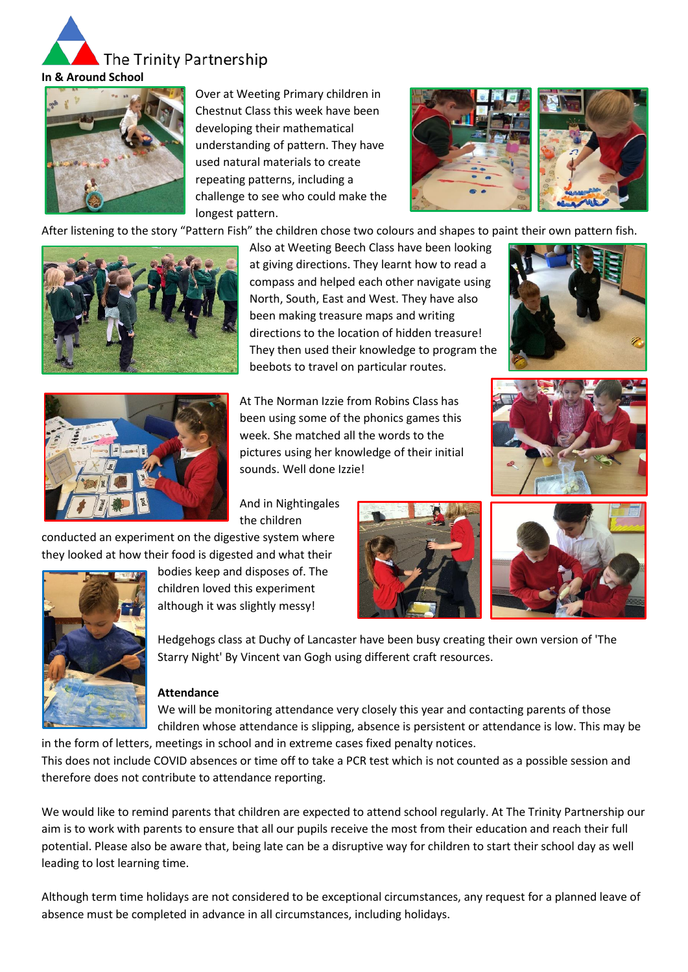



Over at Weeting Primary children in Chestnut Class this week have been developing their mathematical understanding of pattern. They have used natural materials to create repeating patterns, including a challenge to see who could make the longest pattern.



After listening to the story "Pattern Fish" the children chose two colours and shapes to paint their own pattern fish.



Also at Weeting Beech Class have been looking at giving directions. They learnt how to read a compass and helped each other navigate using North, South, East and West. They have also been making treasure maps and writing directions to the location of hidden treasure! They then used their knowledge to program the beebots to travel on particular routes.





At The Norman Izzie from Robins Class has been using some of the phonics games this week. She matched all the words to the pictures using her knowledge of their initial sounds. Well done Izzie!

And in Nightingales the children

conducted an experiment on the digestive system where they looked at how their food is digested and what their



bodies keep and disposes of. The children loved this experiment although it was slightly messy!





Hedgehogs class at Duchy of Lancaster have been busy creating their own version of 'The Starry Night' By Vincent van Gogh using different craft resources.

## **Attendance**

We will be monitoring attendance very closely this year and contacting parents of those children whose attendance is slipping, absence is persistent or attendance is low. This may be in the form of letters, meetings in school and in extreme cases fixed penalty notices.

This does not include COVID absences or time off to take a PCR test which is not counted as a possible session and therefore does not contribute to attendance reporting.

We would like to remind parents that children are expected to attend school regularly. At The Trinity Partnership our aim is to work with parents to ensure that all our pupils receive the most from their education and reach their full potential. Please also be aware that, being late can be a disruptive way for children to start their school day as well leading to lost learning time.

Although term time holidays are not considered to be exceptional circumstances, any request for a planned leave of absence must be completed in advance in all circumstances, including holidays.